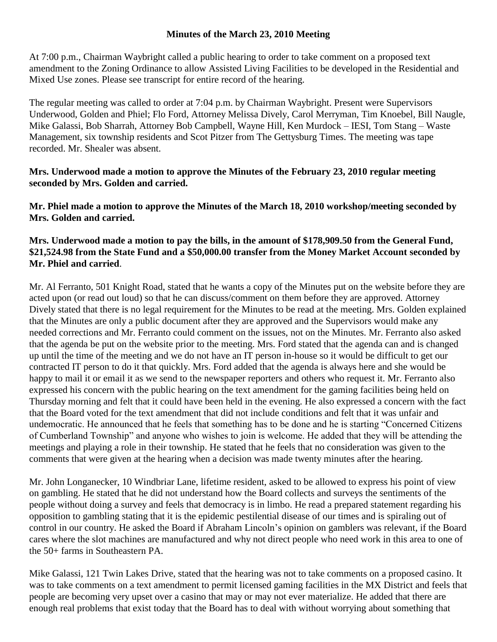#### **Minutes of the March 23, 2010 Meeting**

At 7:00 p.m., Chairman Waybright called a public hearing to order to take comment on a proposed text amendment to the Zoning Ordinance to allow Assisted Living Facilities to be developed in the Residential and Mixed Use zones. Please see transcript for entire record of the hearing.

The regular meeting was called to order at 7:04 p.m. by Chairman Waybright. Present were Supervisors Underwood, Golden and Phiel; Flo Ford, Attorney Melissa Dively, Carol Merryman, Tim Knoebel, Bill Naugle, Mike Galassi, Bob Sharrah, Attorney Bob Campbell, Wayne Hill, Ken Murdock – IESI, Tom Stang – Waste Management, six township residents and Scot Pitzer from The Gettysburg Times. The meeting was tape recorded. Mr. Shealer was absent.

### **Mrs. Underwood made a motion to approve the Minutes of the February 23, 2010 regular meeting seconded by Mrs. Golden and carried.**

**Mr. Phiel made a motion to approve the Minutes of the March 18, 2010 workshop/meeting seconded by Mrs. Golden and carried.**

# **Mrs. Underwood made a motion to pay the bills, in the amount of \$178,909.50 from the General Fund, \$21,524.98 from the State Fund and a \$50,000.00 transfer from the Money Market Account seconded by Mr. Phiel and carried**.

Mr. Al Ferranto, 501 Knight Road, stated that he wants a copy of the Minutes put on the website before they are acted upon (or read out loud) so that he can discuss/comment on them before they are approved. Attorney Dively stated that there is no legal requirement for the Minutes to be read at the meeting. Mrs. Golden explained that the Minutes are only a public document after they are approved and the Supervisors would make any needed corrections and Mr. Ferranto could comment on the issues, not on the Minutes. Mr. Ferranto also asked that the agenda be put on the website prior to the meeting. Mrs. Ford stated that the agenda can and is changed up until the time of the meeting and we do not have an IT person in-house so it would be difficult to get our contracted IT person to do it that quickly. Mrs. Ford added that the agenda is always here and she would be happy to mail it or email it as we send to the newspaper reporters and others who request it. Mr. Ferranto also expressed his concern with the public hearing on the text amendment for the gaming facilities being held on Thursday morning and felt that it could have been held in the evening. He also expressed a concern with the fact that the Board voted for the text amendment that did not include conditions and felt that it was unfair and undemocratic. He announced that he feels that something has to be done and he is starting "Concerned Citizens of Cumberland Township" and anyone who wishes to join is welcome. He added that they will be attending the meetings and playing a role in their township. He stated that he feels that no consideration was given to the comments that were given at the hearing when a decision was made twenty minutes after the hearing.

Mr. John Longanecker, 10 Windbriar Lane, lifetime resident, asked to be allowed to express his point of view on gambling. He stated that he did not understand how the Board collects and surveys the sentiments of the people without doing a survey and feels that democracy is in limbo. He read a prepared statement regarding his opposition to gambling stating that it is the epidemic pestilential disease of our times and is spiraling out of control in our country. He asked the Board if Abraham Lincoln's opinion on gamblers was relevant, if the Board cares where the slot machines are manufactured and why not direct people who need work in this area to one of the 50+ farms in Southeastern PA.

Mike Galassi, 121 Twin Lakes Drive, stated that the hearing was not to take comments on a proposed casino. It was to take comments on a text amendment to permit licensed gaming facilities in the MX District and feels that people are becoming very upset over a casino that may or may not ever materialize. He added that there are enough real problems that exist today that the Board has to deal with without worrying about something that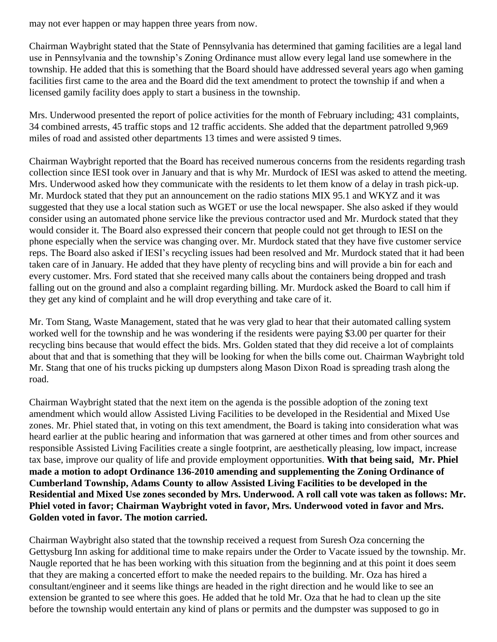may not ever happen or may happen three years from now.

Chairman Waybright stated that the State of Pennsylvania has determined that gaming facilities are a legal land use in Pennsylvania and the township's Zoning Ordinance must allow every legal land use somewhere in the township. He added that this is something that the Board should have addressed several years ago when gaming facilities first came to the area and the Board did the text amendment to protect the township if and when a licensed gamily facility does apply to start a business in the township.

Mrs. Underwood presented the report of police activities for the month of February including; 431 complaints, 34 combined arrests, 45 traffic stops and 12 traffic accidents. She added that the department patrolled 9,969 miles of road and assisted other departments 13 times and were assisted 9 times.

Chairman Waybright reported that the Board has received numerous concerns from the residents regarding trash collection since IESI took over in January and that is why Mr. Murdock of IESI was asked to attend the meeting. Mrs. Underwood asked how they communicate with the residents to let them know of a delay in trash pick-up. Mr. Murdock stated that they put an announcement on the radio stations MIX 95.1 and WKYZ and it was suggested that they use a local station such as WGET or use the local newspaper. She also asked if they would consider using an automated phone service like the previous contractor used and Mr. Murdock stated that they would consider it. The Board also expressed their concern that people could not get through to IESI on the phone especially when the service was changing over. Mr. Murdock stated that they have five customer service reps. The Board also asked if IESI's recycling issues had been resolved and Mr. Murdock stated that it had been taken care of in January. He added that they have plenty of recycling bins and will provide a bin for each and every customer. Mrs. Ford stated that she received many calls about the containers being dropped and trash falling out on the ground and also a complaint regarding billing. Mr. Murdock asked the Board to call him if they get any kind of complaint and he will drop everything and take care of it.

Mr. Tom Stang, Waste Management, stated that he was very glad to hear that their automated calling system worked well for the township and he was wondering if the residents were paying \$3.00 per quarter for their recycling bins because that would effect the bids. Mrs. Golden stated that they did receive a lot of complaints about that and that is something that they will be looking for when the bills come out. Chairman Waybright told Mr. Stang that one of his trucks picking up dumpsters along Mason Dixon Road is spreading trash along the road.

Chairman Waybright stated that the next item on the agenda is the possible adoption of the zoning text amendment which would allow Assisted Living Facilities to be developed in the Residential and Mixed Use zones. Mr. Phiel stated that, in voting on this text amendment, the Board is taking into consideration what was heard earlier at the public hearing and information that was garnered at other times and from other sources and responsible Assisted Living Facilities create a single footprint, are aesthetically pleasing, low impact, increase tax base, improve our quality of life and provide employment opportunities. **With that being said, Mr. Phiel made a motion to adopt Ordinance 136-2010 amending and supplementing the Zoning Ordinance of Cumberland Township, Adams County to allow Assisted Living Facilities to be developed in the Residential and Mixed Use zones seconded by Mrs. Underwood. A roll call vote was taken as follows: Mr. Phiel voted in favor; Chairman Waybright voted in favor, Mrs. Underwood voted in favor and Mrs. Golden voted in favor. The motion carried.**

Chairman Waybright also stated that the township received a request from Suresh Oza concerning the Gettysburg Inn asking for additional time to make repairs under the Order to Vacate issued by the township. Mr. Naugle reported that he has been working with this situation from the beginning and at this point it does seem that they are making a concerted effort to make the needed repairs to the building. Mr. Oza has hired a consultant/engineer and it seems like things are headed in the right direction and he would like to see an extension be granted to see where this goes. He added that he told Mr. Oza that he had to clean up the site before the township would entertain any kind of plans or permits and the dumpster was supposed to go in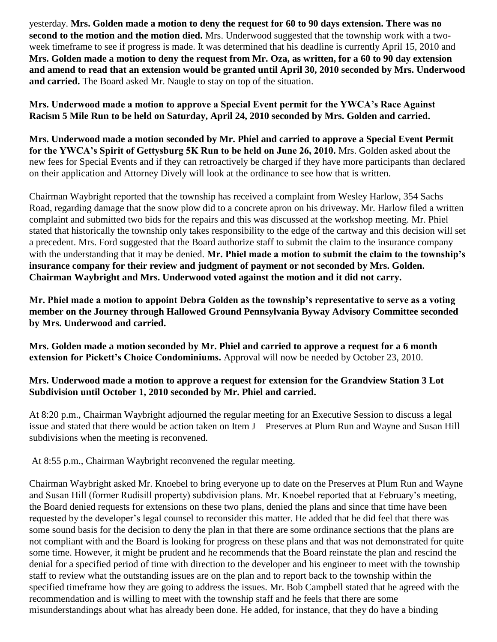yesterday. **Mrs. Golden made a motion to deny the request for 60 to 90 days extension. There was no second to the motion and the motion died.** Mrs. Underwood suggested that the township work with a twoweek timeframe to see if progress is made. It was determined that his deadline is currently April 15, 2010 and **Mrs. Golden made a motion to deny the request from Mr. Oza, as written, for a 60 to 90 day extension and amend to read that an extension would be granted until April 30, 2010 seconded by Mrs. Underwood and carried.** The Board asked Mr. Naugle to stay on top of the situation.

**Mrs. Underwood made a motion to approve a Special Event permit for the YWCA's Race Against Racism 5 Mile Run to be held on Saturday, April 24, 2010 seconded by Mrs. Golden and carried.**

**Mrs. Underwood made a motion seconded by Mr. Phiel and carried to approve a Special Event Permit for the YWCA's Spirit of Gettysburg 5K Run to be held on June 26, 2010.** Mrs. Golden asked about the new fees for Special Events and if they can retroactively be charged if they have more participants than declared on their application and Attorney Dively will look at the ordinance to see how that is written.

Chairman Waybright reported that the township has received a complaint from Wesley Harlow, 354 Sachs Road, regarding damage that the snow plow did to a concrete apron on his driveway. Mr. Harlow filed a written complaint and submitted two bids for the repairs and this was discussed at the workshop meeting. Mr. Phiel stated that historically the township only takes responsibility to the edge of the cartway and this decision will set a precedent. Mrs. Ford suggested that the Board authorize staff to submit the claim to the insurance company with the understanding that it may be denied. **Mr. Phiel made a motion to submit the claim to the township's insurance company for their review and judgment of payment or not seconded by Mrs. Golden. Chairman Waybright and Mrs. Underwood voted against the motion and it did not carry.** 

**Mr. Phiel made a motion to appoint Debra Golden as the township's representative to serve as a voting member on the Journey through Hallowed Ground Pennsylvania Byway Advisory Committee seconded by Mrs. Underwood and carried.** 

**Mrs. Golden made a motion seconded by Mr. Phiel and carried to approve a request for a 6 month extension for Pickett's Choice Condominiums.** Approval will now be needed by October 23, 2010.

# **Mrs. Underwood made a motion to approve a request for extension for the Grandview Station 3 Lot Subdivision until October 1, 2010 seconded by Mr. Phiel and carried.**

At 8:20 p.m., Chairman Waybright adjourned the regular meeting for an Executive Session to discuss a legal issue and stated that there would be action taken on Item J – Preserves at Plum Run and Wayne and Susan Hill subdivisions when the meeting is reconvened.

At 8:55 p.m., Chairman Waybright reconvened the regular meeting.

Chairman Waybright asked Mr. Knoebel to bring everyone up to date on the Preserves at Plum Run and Wayne and Susan Hill (former Rudisill property) subdivision plans. Mr. Knoebel reported that at February's meeting, the Board denied requests for extensions on these two plans, denied the plans and since that time have been requested by the developer's legal counsel to reconsider this matter. He added that he did feel that there was some sound basis for the decision to deny the plan in that there are some ordinance sections that the plans are not compliant with and the Board is looking for progress on these plans and that was not demonstrated for quite some time. However, it might be prudent and he recommends that the Board reinstate the plan and rescind the denial for a specified period of time with direction to the developer and his engineer to meet with the township staff to review what the outstanding issues are on the plan and to report back to the township within the specified timeframe how they are going to address the issues. Mr. Bob Campbell stated that he agreed with the recommendation and is willing to meet with the township staff and he feels that there are some misunderstandings about what has already been done. He added, for instance, that they do have a binding